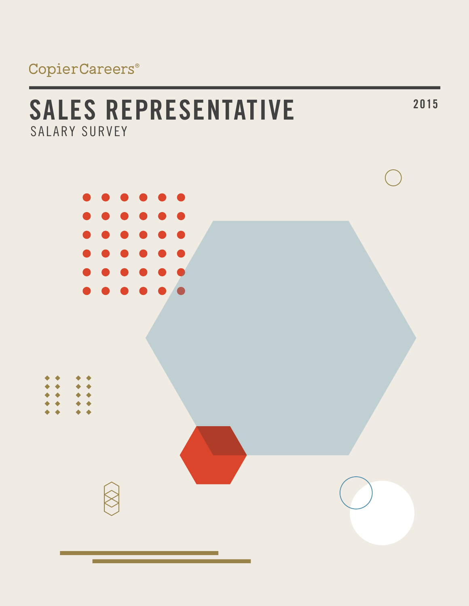# **<sup>2015</sup> SALES REPRESENTATIVE** SALARY SURVEY

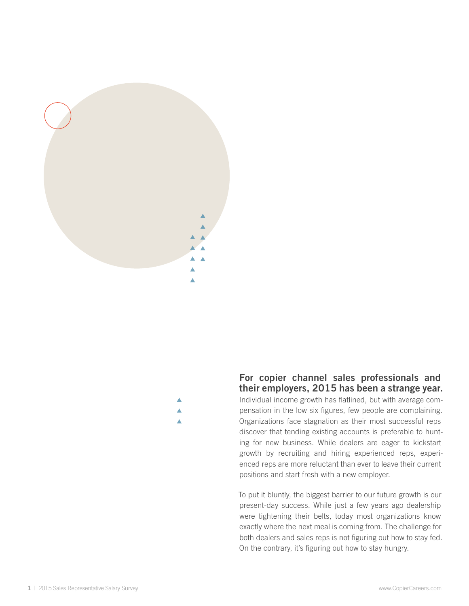



**For copier channel sales professionals and their employers, 2015 has been a strange year.**  Individual income growth has flatlined, but with average compensation in the low six figures, few people are complaining. Organizations face stagnation as their most successful reps discover that tending existing accounts is preferable to hunting for new business. While dealers are eager to kickstart growth by recruiting and hiring experienced reps, experienced reps are more reluctant than ever to leave their current positions and start fresh with a new employer.

To put it bluntly, the biggest barrier to our future growth is our present-day success. While just a few years ago dealership were tightening their belts, today most organizations know exactly where the next meal is coming from. The challenge for both dealers and sales reps is not figuring out how to stay fed. On the contrary, it's figuring out how to stay hungry.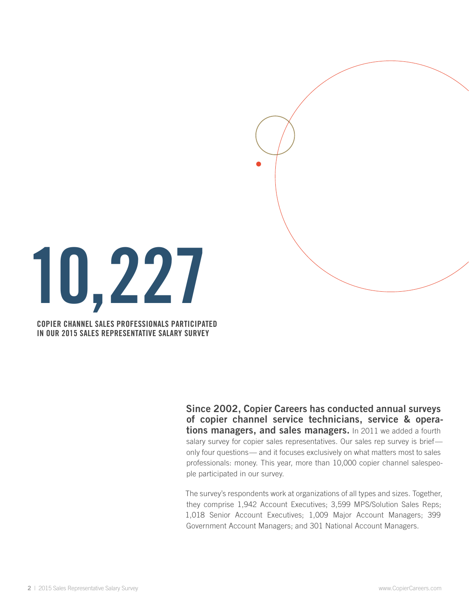

**COPIER CHANNEL SALES PROFESSIONALS PARTICIPATED IN OUR 2015 SALES REPRESENTATIVE SALARY SURVEY**

> **Since 2002, Copier Careers has conducted annual surveys of copier channel service technicians, service & operations managers, and sales managers.** In 2011 we added a fourth salary survey for copier sales representatives. Our sales rep survey is briefonly four questions— and it focuses exclusively on what matters most to sales professionals: money. This year, more than 10,000 copier channel salespeople participated in our survey.

> The survey's respondents work at organizations of all types and sizes. Together, they comprise 1,942 Account Executives; 3,599 MPS/Solution Sales Reps; 1,018 Senior Account Executives; 1,009 Major Account Managers; 399 Government Account Managers; and 301 National Account Managers.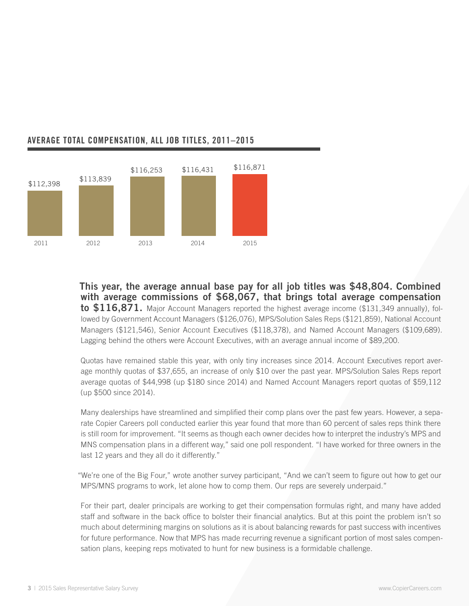

## **AVERAGE total COMPENSATION, all job titles, 2011–2015**

**This year, the average annual base pay for all job titles was \$48,804. Combined with average commissions of \$68,067, that brings total average compensation to \$116,871.** Major Account Managers reported the highest average income (\$131,349 annually), followed by Government Account Managers (\$126,076), MPS/Solution Sales Reps (\$121,859), National Account Managers (\$121,546), Senior Account Executives (\$118,378), and Named Account Managers (\$109,689). Lagging behind the others were Account Executives, with an average annual income of \$89,200.

Quotas have remained stable this year, with only tiny increases since 2014. Account Executives report average monthly quotas of \$37,655, an increase of only \$10 over the past year. MPS/Solution Sales Reps report average quotas of \$44,998 (up \$180 since 2014) and Named Account Managers report quotas of \$59,112 (up \$500 since 2014).

Many dealerships have streamlined and simplified their comp plans over the past few years. However, a separate Copier Careers poll conducted earlier this year found that more than 60 percent of sales reps think there is still room for improvement. "It seems as though each owner decides how to interpret the industry's MPS and MNS compensation plans in a different way," said one poll respondent. "I have worked for three owners in the last 12 years and they all do it differently."

"We're one of the Big Four," wrote another survey participant, "And we can't seem to figure out how to get our MPS/MNS programs to work, let alone how to comp them. Our reps are severely underpaid."

For their part, dealer principals are working to get their compensation formulas right, and many have added staff and software in the back office to bolster their financial analytics. But at this point the problem isn't so much about determining margins on solutions as it is about balancing rewards for past success with incentives for future performance. Now that MPS has made recurring revenue a significant portion of most sales compensation plans, keeping reps motivated to hunt for new business is a formidable challenge.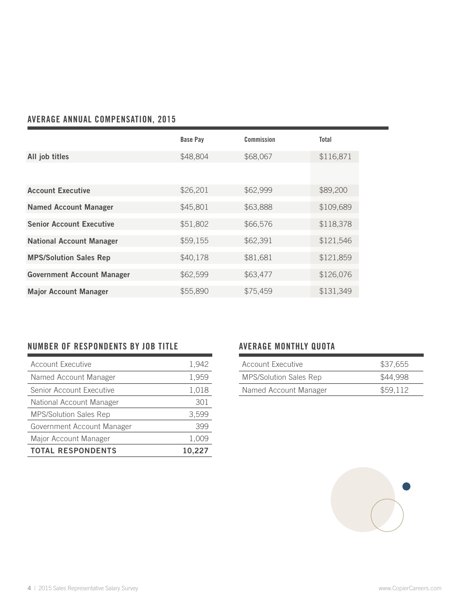# **Average ANNUAL compensation, 2015**

|                                   | <b>Base Pay</b> | Commission | <b>Total</b> |
|-----------------------------------|-----------------|------------|--------------|
| All job titles                    | \$48,804        | \$68,067   | \$116,871    |
|                                   |                 |            |              |
| <b>Account Executive</b>          | \$26,201        | \$62,999   | \$89,200     |
| <b>Named Account Manager</b>      | \$45,801        | \$63,888   | \$109,689    |
| <b>Senior Account Executive</b>   | \$51,802        | \$66,576   | \$118,378    |
| <b>National Account Manager</b>   | \$59,155        | \$62,391   | \$121,546    |
| <b>MPS/Solution Sales Rep</b>     | \$40,178        | \$81,681   | \$121,859    |
| <b>Government Account Manager</b> | \$62,599        | \$63,477   | \$126,076    |
| <b>Major Account Manager</b>      | \$55,890        | \$75,459   | \$131,349    |

## **Number of RESPONDENTS BY JOB TITLE**

| <b>Account Executive</b>      | 1,942  |
|-------------------------------|--------|
| Named Account Manager         | 1,959  |
| Senior Account Executive      | 1,018  |
| National Account Manager      | 301    |
| <b>MPS/Solution Sales Rep</b> | 3,599  |
| Government Account Manager    | 399    |
| Major Account Manager         | 1,009  |
| <b>TOTAL RESPONDENTS</b>      | 10.227 |

## **AVERAGE MONTHLY QUOTA**

| Account Executive             | \$37,655 |
|-------------------------------|----------|
| <b>MPS/Solution Sales Rep</b> | \$44,998 |
| Named Account Manager         | \$59.112 |

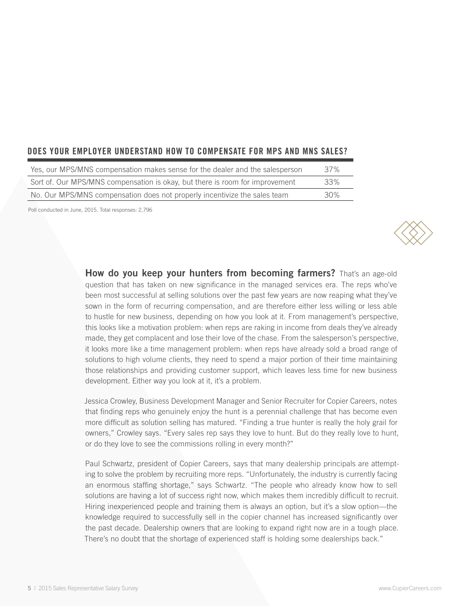### **Does your employer understand how to compensate for mps and mns sales?**

| Yes, our MPS/MNS compensation makes sense for the dealer and the salesperson | .37% |
|------------------------------------------------------------------------------|------|
| Sort of. Our MPS/MNS compensation is okay, but there is room for improvement | 33%  |
| No. Our MPS/MNS compensation does not properly incentivize the sales team    | 30%  |

Poll conducted in June, 2015. Total responses: 2,796

**How do you keep your hunters from becoming farmers?** That's an age-old question that has taken on new significance in the managed services era. The reps who've been most successful at selling solutions over the past few years are now reaping what they've sown in the form of recurring compensation, and are therefore either less willing or less able to hustle for new business, depending on how you look at it. From management's perspective, this looks like a motivation problem: when reps are raking in income from deals they've already made, they get complacent and lose their love of the chase. From the salesperson's perspective, it looks more like a time management problem: when reps have already sold a broad range of solutions to high volume clients, they need to spend a major portion of their time maintaining those relationships and providing customer support, which leaves less time for new business development. Either way you look at it, it's a problem.

Jessica Crowley, Business Development Manager and Senior Recruiter for Copier Careers, notes that finding reps who genuinely enjoy the hunt is a perennial challenge that has become even more difficult as solution selling has matured. "Finding a true hunter is really the holy grail for owners," Crowley says. "Every sales rep says they love to hunt. But do they really love to hunt, or do they love to see the commissions rolling in every month?"

Paul Schwartz, president of Copier Careers, says that many dealership principals are attempting to solve the problem by recruiting more reps. "Unfortunately, the industry is currently facing an enormous staffing shortage," says Schwartz. "The people who already know how to sell solutions are having a lot of success right now, which makes them incredibly difficult to recruit. Hiring inexperienced people and training them is always an option, but it's a slow option—the knowledge required to successfully sell in the copier channel has increased significantly over the past decade. Dealership owners that are looking to expand right now are in a tough place. There's no doubt that the shortage of experienced staff is holding some dealerships back."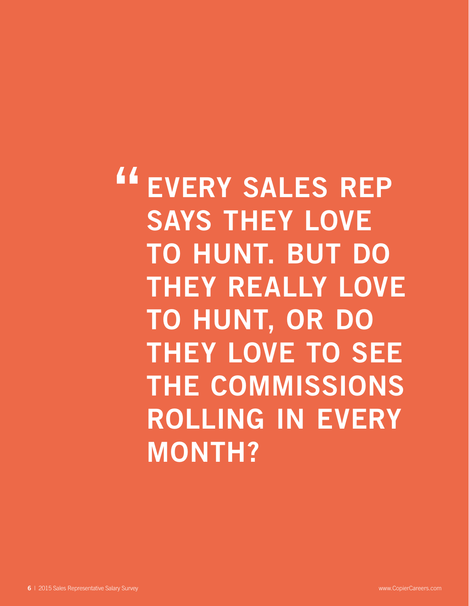**EVERY SALES REP SAYS THEY LOVE TO HUNT. BUT DO THEY REALLY LOVE TO HUNT, OR DO THEY LOVE TO SEE THE COMMISSIONS ROLLING IN EVERY MONTH? "**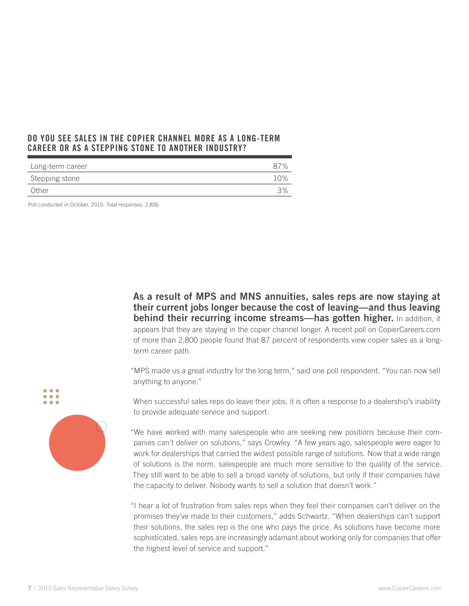#### **Do you see sales in the copier channel more as a long-term career or as a stepping stone to another industry?**

| Long-term career |     |
|------------------|-----|
| Stepping stone   | 10% |
| Other            | 3%  |

Poll conducted in October, 2015. Total responses: 2,836

**As a result of MPS and MNS annuities, sales reps are now staying at their current jobs longer because the cost of leaving—and thus leaving behind their recurring income streams—has gotten higher.** In addition, it appears that they are staying in the copier channel longer. A recent poll on CopierCareers.com of more than 2,800 people found that 87 percent of respondents view copier sales as a longterm career path.

"MPS made us a great industry for the long term," said one poll respondent. "You can now sell anything to anyone."



 $\bullet$   $\bullet$   $\bullet$ 

When successful sales reps do leave their jobs, it is often a response to a dealership's inability to provide adequate service and support.

"We have worked with many salespeople who are seeking new positions because their companies can't deliver on solutions," says Crowley. "A few years ago, salespeople were eager to work for dealerships that carried the widest possible range of solutions. Now that a wide range of solutions is the norm, salespeople are much more sensitive to the quality of the service. They still want to be able to sell a broad variety of solutions, but only if their companies have the capacity to deliver. Nobody wants to sell a solution that doesn't work."

"I hear a lot of frustration from sales reps when they feel their companies can't deliver on the promises they've made to their customers," adds Schwartz. "When dealerships can't support their solutions, the sales rep is the one who pays the price. As solutions have become more sophisticated, sales reps are increasingly adamant about working only for companies that offer the highest level of service and support."